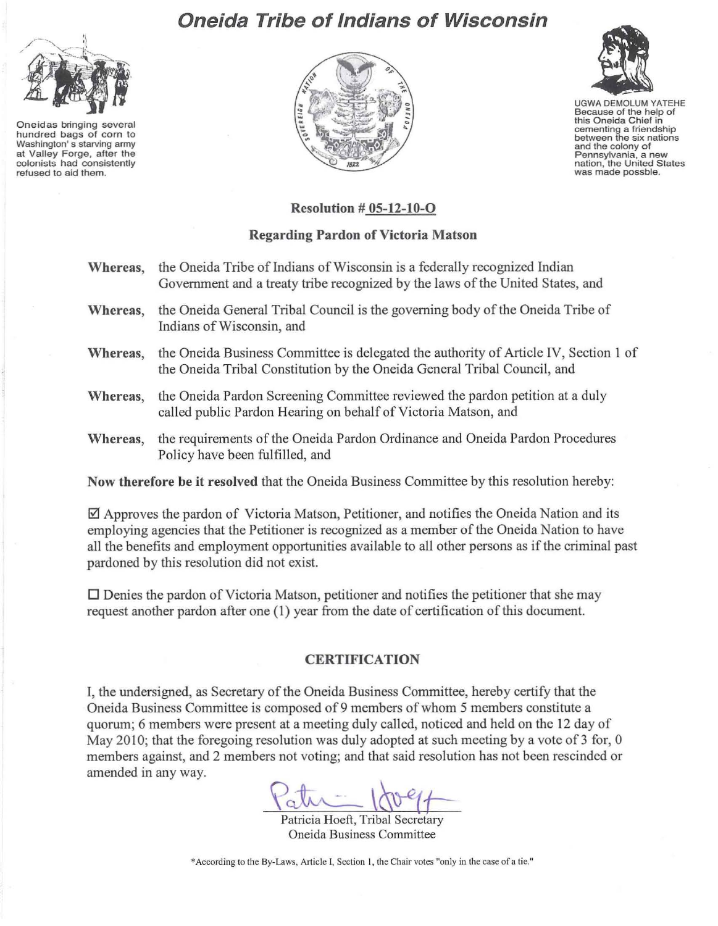

Oneidas bringing several hundred bags of corn to Washington's starving army at Valley Forge, after the colonists had consistently refused to aid them.

## Oneida Tribe of Indians of Wisconsin





UGWA DEMOLUM YATEHE Because of the help of this Oneida Chief in cementing a friendship between the six nations and the colony of Pennsylvania, a new nation, the United States was made possble.

## Resolution # 05-12-10-0

## Regarding Pardon of Victoria Matson

| Whereas, | the Oneida Tribe of Indians of Wisconsin is a federally recognized Indian<br>Government and a treaty tribe recognized by the laws of the United States, and      |
|----------|------------------------------------------------------------------------------------------------------------------------------------------------------------------|
| Whereas, | the Oneida General Tribal Council is the governing body of the Oneida Tribe of<br>Indians of Wisconsin, and                                                      |
| Whereas, | the Oneida Business Committee is delegated the authority of Article IV, Section 1 of<br>the Oneida Tribal Constitution by the Oneida General Tribal Council, and |
| Whereas, | the Oneida Pardon Screening Committee reviewed the pardon petition at a duly<br>called public Pardon Hearing on behalf of Victoria Matson, and                   |
| Whereas, | the requirements of the Oneida Pardon Ordinance and Oneida Pardon Procedures<br>Policy have been fulfilled, and                                                  |

Now therefore be it r esolved that the Oneida Business Committee by this resolution hereby:

 $\boxtimes$  Approves the pardon of Victoria Matson, Petitioner, and notifies the Oneida Nation and its employing agencies that the Petitioner is recognized as a member of the Oneida Nation to have all the benefits and employment opportunities available to all other persons as ifthe criminal past pardoned by this resolution did not exist.

 $\square$  Denies the pardon of Victoria Matson, petitioner and notifies the petitioner that she may request another pardon after one (1) year from the date of certification of this document.

## **CERTIFICATION**

I, the undersigned, as Secretary of the Oneida Business Committee, hereby certify that the Oneida Business Committee is composed of9 members of whom 5 members constitute a quorum; 6 members were present at a meeting duly called, noticed and held on the 12 day of May 2010; that the foregoing resolution was duly adopted at such meeting by a vote of 3 for, 0 members against, and 2 members not voting; and that said resolution has not been rescinded or amended in any way.

 $\pi=100-4+$ 

Patricia Hoeft, Tribal Secretary Oneida Business Committee

\*According to the By-Laws, Article I, Section 1, the Chair votes "only in the case of a tie."